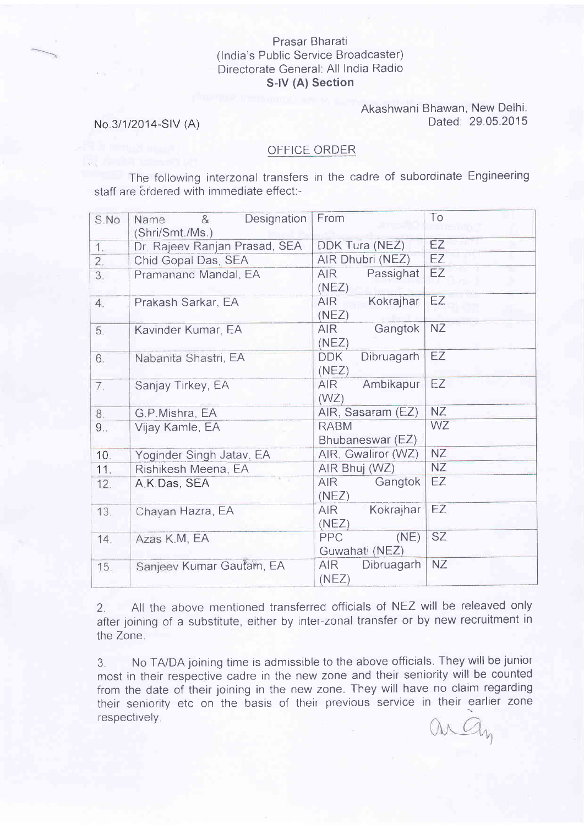## Prasar Bharati (lndia's Public Service Broadcaster) Directorate General: All India Radio S-lV (A) Section

## Akashwani Bhawan, New Delhi. Dated. 29.05.2015

## No 3/1/2014-SlV (A)

## OFFICE ORDER

The following interzonal transfers in the cadre of subordinate Engineering staff are ordered with immediate effect:-

| S.No | Designation<br>&<br>Name<br>(Shri/Smt./Ms.) | From                                  | To        |
|------|---------------------------------------------|---------------------------------------|-----------|
| 1.   | Dr. Rajeev Ranjan Prasad, SEA               | DDK Tura (NEZ)                        | EZ        |
| 2.   | Chid Gopal Das, SEA                         | AIR Dhubri (NEZ)                      | EZ        |
| 3.   | Pramanand Mandal, EA                        | Passighat<br>AIR.<br>(NEZ)            | EZ        |
| 4.   | Prakash Sarkar, EA                          | Kokrajhar<br>AIR<br>(NEZ)             | EZ        |
| 5.   | Kavinder Kumar, EA                          | Gangtok<br>AIR.<br>(NEZ)              | <b>NZ</b> |
| 6.   | Nabanita Shastri, EA                        | Dibruagarh<br><b>DDK</b><br>(NEZ)     | EZ        |
| 7.   | Sanjay Tirkey, EA                           | Ambikapur<br>AIR <sup>1</sup><br>(WZ) | EZ        |
| 8.   | G.P.Mishra, EA                              | AIR, Sasaram (EZ)                     | <b>NZ</b> |
| 9.5  | Vijay Kamle, EA                             | <b>RABM</b><br>Bhubaneswar (EZ)       | <b>WZ</b> |
| 10.  | Yoginder Singh Jatav, EA                    | AIR, Gwaliror (WZ)                    | <b>NZ</b> |
| 11.  | Rishikesh Meena, EA                         | AIR Bhuj (WZ)                         | <b>NZ</b> |
| 12.  | A.K.Das, SEA                                | Gangtok<br><b>AIR</b><br>(NEZ)        | <b>EZ</b> |
| 13.  | Chayan Hazra, EA                            | Kokrajhar<br>AIR.<br>(NEZ)            | EZ        |
| 14.  | Azas K.M, EA                                | (NE)<br><b>PPC</b><br>Guwahati (NEZ)  | SZ.       |
| 15.  | Sanjeev Kumar Gautam, EA                    | <b>AIR</b><br>Dibruagarh<br>(NEZ)     | <b>NZ</b> |

2. All the above mentioned transferred officials of NEZ will be releaved only after joining of a substitute, either by inter-zonal transfer or by new recruitment in the Zone.

3. No TA/DA joining time is admissible to the above officials. They will be junior most in their respective cadre in the new zone and their seniority will be counted from the date of their joining in the new zone. They will have no claim regarding their seniority etc on the basis of their previous service in their earlier zone respectively